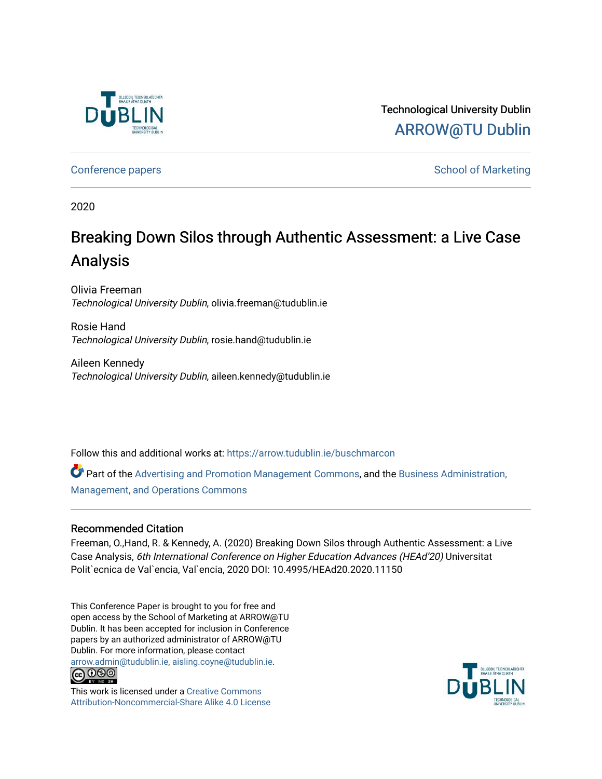

Technological University Dublin [ARROW@TU Dublin](https://arrow.tudublin.ie/) 

[Conference papers](https://arrow.tudublin.ie/buschmarcon) **School of Marketing** Conference papers **School of Marketing** 

2020

# Breaking Down Silos through Authentic Assessment: a Live Case Analysis

Olivia Freeman Technological University Dublin, olivia.freeman@tudublin.ie

Rosie Hand Technological University Dublin, rosie.hand@tudublin.ie

Aileen Kennedy Technological University Dublin, aileen.kennedy@tudublin.ie

Follow this and additional works at: [https://arrow.tudublin.ie/buschmarcon](https://arrow.tudublin.ie/buschmarcon?utm_source=arrow.tudublin.ie%2Fbuschmarcon%2F187&utm_medium=PDF&utm_campaign=PDFCoverPages) 

Part of the [Advertising and Promotion Management Commons,](http://network.bepress.com/hgg/discipline/626?utm_source=arrow.tudublin.ie%2Fbuschmarcon%2F187&utm_medium=PDF&utm_campaign=PDFCoverPages) and the [Business Administration,](http://network.bepress.com/hgg/discipline/623?utm_source=arrow.tudublin.ie%2Fbuschmarcon%2F187&utm_medium=PDF&utm_campaign=PDFCoverPages)  [Management, and Operations Commons](http://network.bepress.com/hgg/discipline/623?utm_source=arrow.tudublin.ie%2Fbuschmarcon%2F187&utm_medium=PDF&utm_campaign=PDFCoverPages)

## Recommended Citation

Freeman, O.,Hand, R. & Kennedy, A. (2020) Breaking Down Silos through Authentic Assessment: a Live Case Analysis, 6th International Conference on Higher Education Advances (HEAd'20) Universitat Polit`ecnica de Val`encia, Val`encia, 2020 DOI: 10.4995/HEAd20.2020.11150

This Conference Paper is brought to you for free and open access by the School of Marketing at ARROW@TU Dublin. It has been accepted for inclusion in Conference papers by an authorized administrator of ARROW@TU Dublin. For more information, please contact [arrow.admin@tudublin.ie, aisling.coyne@tudublin.ie](mailto:arrow.admin@tudublin.ie,%20aisling.coyne@tudublin.ie).



This work is licensed under a [Creative Commons](http://creativecommons.org/licenses/by-nc-sa/4.0/) [Attribution-Noncommercial-Share Alike 4.0 License](http://creativecommons.org/licenses/by-nc-sa/4.0/)

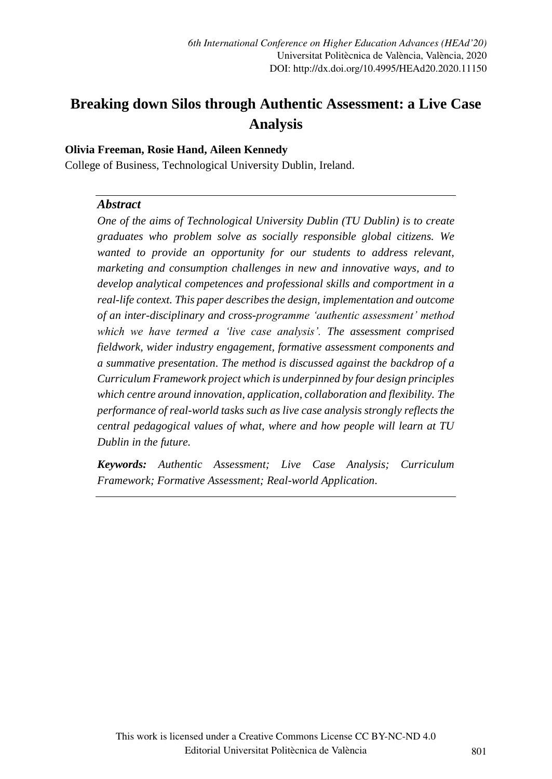# **Breaking down Silos through Authentic Assessment: a Live Case Analysis**

#### **Olivia Freeman, Rosie Hand, Aileen Kennedy**

College of Business, Technological University Dublin, Ireland.

#### *Abstract*

*One of the aims of Technological University Dublin (TU Dublin) is to create graduates who problem solve as socially responsible global citizens. We wanted to provide an opportunity for our students to address relevant, marketing and consumption challenges in new and innovative ways, and to develop analytical competences and professional skills and comportment in a real-life context. This paper describes the design, implementation and outcome of an inter-disciplinary and cross-programme 'authentic assessment' method which we have termed a 'live case analysis'. The assessment comprised fieldwork, wider industry engagement, formative assessment components and a summative presentation. The method is discussed against the backdrop of a Curriculum Framework project which is underpinned by four design principles which centre around innovation, application, collaboration and flexibility. The performance of real-world tasks such as live case analysis strongly reflects the central pedagogical values of what, where and how people will learn at TU Dublin in the future.* 

*Keywords: Authentic Assessment; Live Case Analysis; Curriculum Framework; Formative Assessment; Real-world Application.*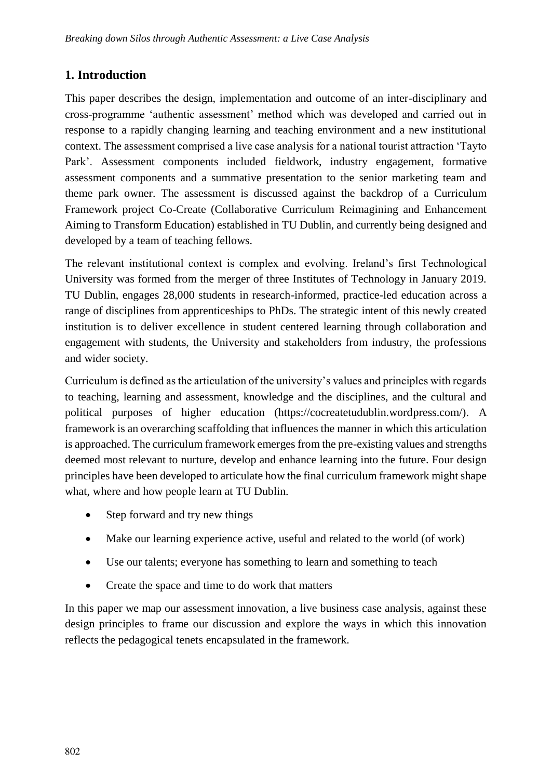# **1. Introduction**

This paper describes the design, implementation and outcome of an inter-disciplinary and cross-programme 'authentic assessment' method which was developed and carried out in response to a rapidly changing learning and teaching environment and a new institutional context. The assessment comprised a live case analysis for a national tourist attraction 'Tayto Park'. Assessment components included fieldwork, industry engagement, formative assessment components and a summative presentation to the senior marketing team and theme park owner. The assessment is discussed against the backdrop of a Curriculum Framework project Co-Create (Collaborative Curriculum Reimagining and Enhancement Aiming to Transform Education) established in TU Dublin, and currently being designed and developed by a team of teaching fellows.

The relevant institutional context is complex and evolving. Ireland's first Technological University was formed from the merger of three Institutes of Technology in January 2019. TU Dublin, engages 28,000 students in research-informed, practice-led education across a range of disciplines from apprenticeships to PhDs. The strategic intent of this newly created institution is to deliver excellence in student centered learning through collaboration and engagement with students, the University and stakeholders from industry, the professions and wider society.

Curriculum is defined as the articulation of the university's values and principles with regards to teaching, learning and assessment, knowledge and the disciplines, and the cultural and political purposes of higher education (https://cocreatetudublin.wordpress.com/). A framework is an overarching scaffolding that influences the manner in which this articulation is approached. The curriculum framework emerges from the pre-existing values and strengths deemed most relevant to nurture, develop and enhance learning into the future. Four design principles have been developed to articulate how the final curriculum framework might shape what, where and how people learn at TU Dublin.

- Step forward and try new things
- Make our learning experience active, useful and related to the world (of work)
- Use our talents; everyone has something to learn and something to teach
- Create the space and time to do work that matters

In this paper we map our assessment innovation, a live business case analysis, against these design principles to frame our discussion and explore the ways in which this innovation reflects the pedagogical tenets encapsulated in the framework.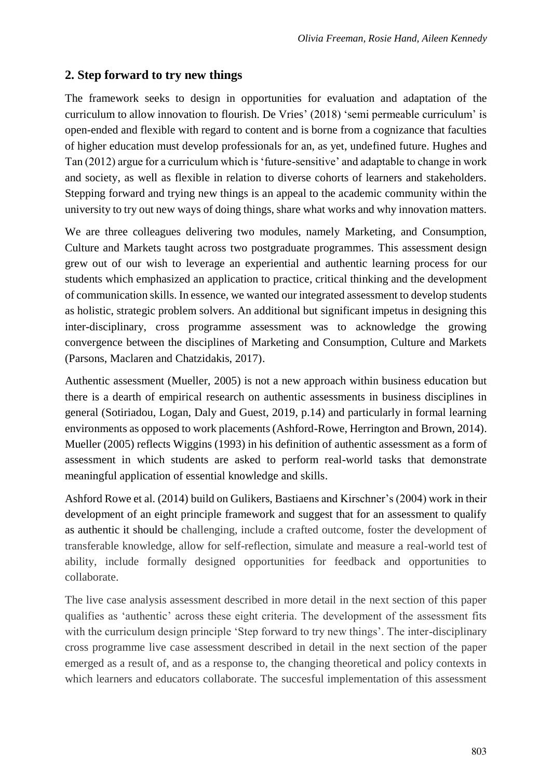# **2. Step forward to try new things**

The framework seeks to design in opportunities for evaluation and adaptation of the curriculum to allow innovation to flourish. De Vries' (2018) 'semi permeable curriculum' is open-ended and flexible with regard to content and is borne from a cognizance that faculties of higher education must develop professionals for an, as yet, undefined future. Hughes and Tan (2012) argue for a curriculum which is 'future-sensitive' and adaptable to change in work and society, as well as flexible in relation to diverse cohorts of learners and stakeholders. Stepping forward and trying new things is an appeal to the academic community within the university to try out new ways of doing things, share what works and why innovation matters.

We are three colleagues delivering two modules, namely Marketing, and Consumption, Culture and Markets taught across two postgraduate programmes. This assessment design grew out of our wish to leverage an experiential and authentic learning process for our students which emphasized an application to practice, critical thinking and the development of communication skills. In essence, we wanted our integrated assessment to develop students as holistic, strategic problem solvers. An additional but significant impetus in designing this inter-disciplinary, cross programme assessment was to acknowledge the growing convergence between the disciplines of Marketing and Consumption, Culture and Markets (Parsons, Maclaren and Chatzidakis, 2017).

Authentic assessment (Mueller, 2005) is not a new approach within business education but there is a dearth of empirical research on authentic assessments in business disciplines in general (Sotiriadou, Logan, Daly and Guest, 2019, p.14) and particularly in formal learning environments as opposed to work placements (Ashford-Rowe, Herrington and Brown, 2014). Mueller (2005) reflects Wiggins (1993) in his definition of authentic assessment as a form of assessment in which students are asked to perform real-world tasks that demonstrate meaningful application of essential knowledge and skills.

Ashford Rowe et al. (2014) build on Gulikers, Bastiaens and Kirschner's (2004) work in their development of an eight principle framework and suggest that for an assessment to qualify as authentic it should be challenging, include a crafted outcome, foster the development of transferable knowledge, allow for self-reflection, simulate and measure a real-world test of ability, include formally designed opportunities for feedback and opportunities to collaborate.

The live case analysis assessment described in more detail in the next section of this paper qualifies as 'authentic' across these eight criteria. The development of the assessment fits with the curriculum design principle 'Step forward to try new things'. The inter-disciplinary cross programme live case assessment described in detail in the next section of the paper emerged as a result of, and as a response to, the changing theoretical and policy contexts in which learners and educators collaborate. The succesful implementation of this assessment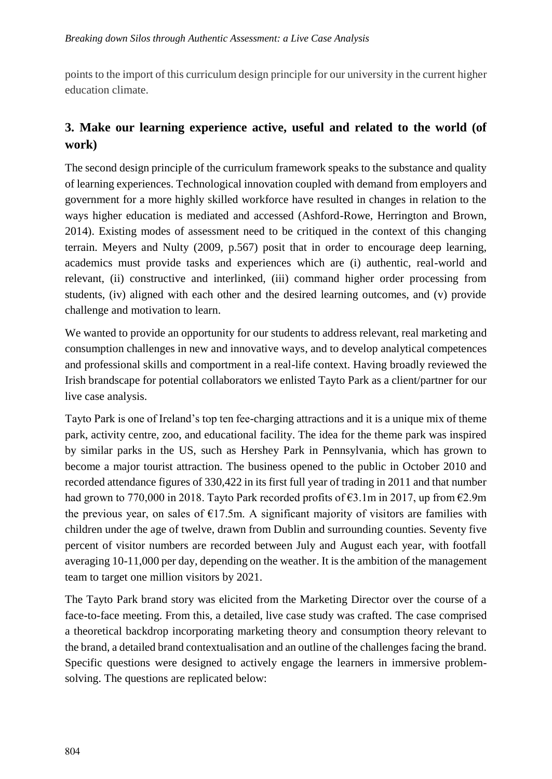points to the import of this curriculum design principle for our university in the current higher education climate.

# **3. Make our learning experience active, useful and related to the world (of work)**

The second design principle of the curriculum framework speaks to the substance and quality of learning experiences. Technological innovation coupled with demand from employers and government for a more highly skilled workforce have resulted in changes in relation to the ways higher education is mediated and accessed (Ashford-Rowe, Herrington and Brown, 2014). Existing modes of assessment need to be critiqued in the context of this changing terrain. Meyers and Nulty (2009, p.567) posit that in order to encourage deep learning, academics must provide tasks and experiences which are (i) authentic, real-world and relevant, (ii) constructive and interlinked, (iii) command higher order processing from students, (iv) aligned with each other and the desired learning outcomes, and (v) provide challenge and motivation to learn.

We wanted to provide an opportunity for our students to address relevant, real marketing and consumption challenges in new and innovative ways, and to develop analytical competences and professional skills and comportment in a real-life context. Having broadly reviewed the Irish brandscape for potential collaborators we enlisted Tayto Park as a client/partner for our live case analysis.

Tayto Park is one of Ireland's top ten fee-charging attractions and it is a unique mix of theme park, activity centre, zoo, and educational facility. The idea for the theme park was inspired by similar parks in the US, such as Hershey Park in Pennsylvania, which has grown to become a major tourist attraction. The business opened to the public in October 2010 and recorded attendance figures of 330,422 in its first full year of trading in 2011 and that number had grown to 770,000 in 2018. Tayto Park recorded profits of  $\epsilon$ 3.1m in 2017, up from  $\epsilon$ 2.9m the previous year, on sales of  $E17.5m$ . A significant majority of visitors are families with children under the age of twelve, drawn from Dublin and surrounding counties. Seventy five percent of visitor numbers are recorded between July and August each year, with footfall averaging 10-11,000 per day, depending on the weather. It is the ambition of the management team to target one million visitors by 2021.

The Tayto Park brand story was elicited from the Marketing Director over the course of a face-to-face meeting. From this, a detailed, live case study was crafted. The case comprised a theoretical backdrop incorporating marketing theory and consumption theory relevant to the brand, a detailed brand contextualisation and an outline of the challenges facing the brand. Specific questions were designed to actively engage the learners in immersive problemsolving. The questions are replicated below: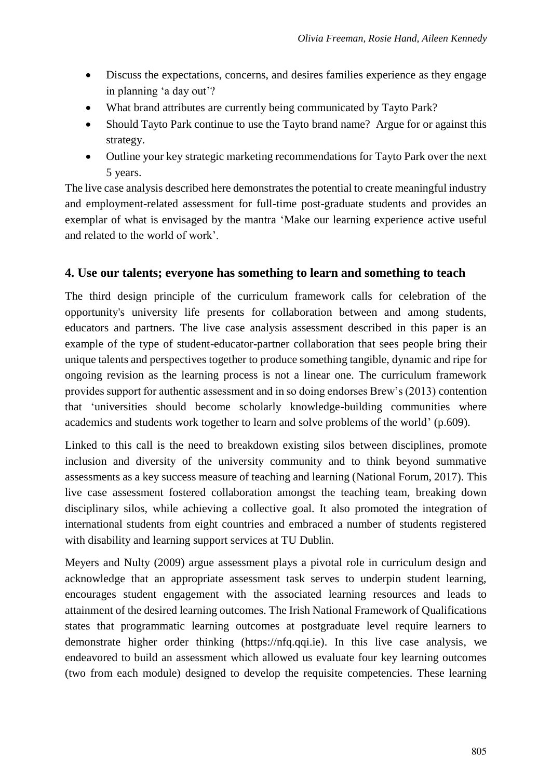- Discuss the expectations, concerns, and desires families experience as they engage in planning 'a day out'?
- What brand attributes are currently being communicated by Tayto Park?
- Should Tayto Park continue to use the Tayto brand name? Argue for or against this strategy.
- Outline your key strategic marketing recommendations for Tayto Park over the next 5 years.

The live case analysis described here demonstrates the potential to create meaningful industry and employment-related assessment for full-time post-graduate students and provides an exemplar of what is envisaged by the mantra 'Make our learning experience active useful and related to the world of work'.

#### **4. Use our talents; everyone has something to learn and something to teach**

The third design principle of the curriculum framework calls for celebration of the opportunity's university life presents for collaboration between and among students, educators and partners. The live case analysis assessment described in this paper is an example of the type of student-educator-partner collaboration that sees people bring their unique talents and perspectives together to produce something tangible, dynamic and ripe for ongoing revision as the learning process is not a linear one. The curriculum framework provides support for authentic assessment and in so doing endorses Brew's (2013) contention that 'universities should become scholarly knowledge-building communities where academics and students work together to learn and solve problems of the world' (p.609).

Linked to this call is the need to breakdown existing silos between disciplines, promote inclusion and diversity of the university community and to think beyond summative assessments as a key success measure of teaching and learning (National Forum, 2017). This live case assessment fostered collaboration amongst the teaching team, breaking down disciplinary silos, while achieving a collective goal. It also promoted the integration of international students from eight countries and embraced a number of students registered with disability and learning support services at TU Dublin.

Meyers and Nulty (2009) argue assessment plays a pivotal role in curriculum design and acknowledge that an appropriate assessment task serves to underpin student learning, encourages student engagement with the associated learning resources and leads to attainment of the desired learning outcomes. The Irish National Framework of Qualifications states that programmatic learning outcomes at postgraduate level require learners to demonstrate higher order thinking (https://nfq.qqi.ie). In this live case analysis, we endeavored to build an assessment which allowed us evaluate four key learning outcomes (two from each module) designed to develop the requisite competencies. These learning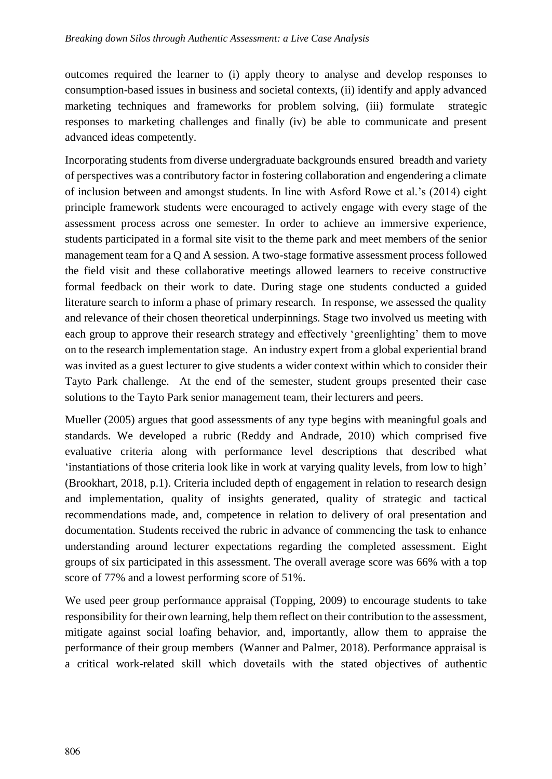outcomes required the learner to (i) apply theory to analyse and develop responses to consumption-based issues in business and societal contexts, (ii) identify and apply advanced marketing techniques and frameworks for problem solving, (iii) formulate strategic responses to marketing challenges and finally (iv) be able to communicate and present advanced ideas competently.

Incorporating students from diverse undergraduate backgrounds ensured breadth and variety of perspectives was a contributory factor in fostering collaboration and engendering a climate of inclusion between and amongst students. In line with Asford Rowe et al.'s (2014) eight principle framework students were encouraged to actively engage with every stage of the assessment process across one semester. In order to achieve an immersive experience, students participated in a formal site visit to the theme park and meet members of the senior management team for a Q and A session. A two-stage formative assessment process followed the field visit and these collaborative meetings allowed learners to receive constructive formal feedback on their work to date. During stage one students conducted a guided literature search to inform a phase of primary research. In response, we assessed the quality and relevance of their chosen theoretical underpinnings. Stage two involved us meeting with each group to approve their research strategy and effectively 'greenlighting' them to move on to the research implementation stage. An industry expert from a global experiential brand was invited as a guest lecturer to give students a wider context within which to consider their Tayto Park challenge. At the end of the semester, student groups presented their case solutions to the Tayto Park senior management team, their lecturers and peers.

Mueller (2005) argues that good assessments of any type begins with meaningful goals and standards. We developed a rubric (Reddy and Andrade, 2010) which comprised five evaluative criteria along with performance level descriptions that described what 'instantiations of those criteria look like in work at varying quality levels, from low to high' (Brookhart, 2018, p.1). Criteria included depth of engagement in relation to research design and implementation, quality of insights generated, quality of strategic and tactical recommendations made, and, competence in relation to delivery of oral presentation and documentation. Students received the rubric in advance of commencing the task to enhance understanding around lecturer expectations regarding the completed assessment. Eight groups of six participated in this assessment. The overall average score was 66% with a top score of 77% and a lowest performing score of 51%.

We used peer group performance appraisal (Topping, 2009) to encourage students to take responsibility for their own learning, help them reflect on their contribution to the assessment, mitigate against social loafing behavior, and, importantly, allow them to appraise the performance of their group members (Wanner and Palmer, 2018). Performance appraisal is a critical work-related skill which dovetails with the stated objectives of authentic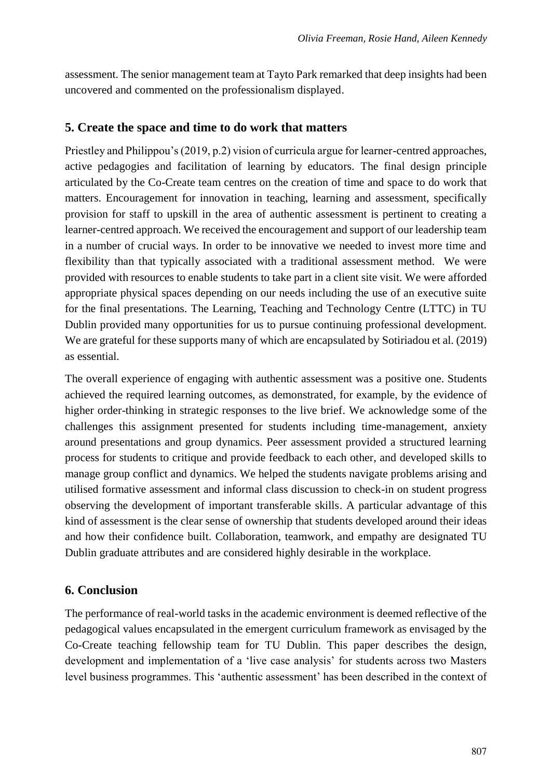assessment. The senior management team at Tayto Park remarked that deep insights had been uncovered and commented on the professionalism displayed.

#### **5. Create the space and time to do work that matters**

Priestley and Philippou's (2019, p.2) vision of curricula argue for learner-centred approaches, active pedagogies and facilitation of learning by educators. The final design principle articulated by the Co-Create team centres on the creation of time and space to do work that matters. Encouragement for innovation in teaching, learning and assessment, specifically provision for staff to upskill in the area of authentic assessment is pertinent to creating a learner-centred approach. We received the encouragement and support of our leadership team in a number of crucial ways. In order to be innovative we needed to invest more time and flexibility than that typically associated with a traditional assessment method. We were provided with resources to enable students to take part in a client site visit. We were afforded appropriate physical spaces depending on our needs including the use of an executive suite for the final presentations. The Learning, Teaching and Technology Centre (LTTC) in TU Dublin provided many opportunities for us to pursue continuing professional development. We are grateful for these supports many of which are encapsulated by Sotiriadou et al. (2019) as essential.

The overall experience of engaging with authentic assessment was a positive one. Students achieved the required learning outcomes, as demonstrated, for example, by the evidence of higher order-thinking in strategic responses to the live brief. We acknowledge some of the challenges this assignment presented for students including time-management, anxiety around presentations and group dynamics. Peer assessment provided a structured learning process for students to critique and provide feedback to each other, and developed skills to manage group conflict and dynamics. We helped the students navigate problems arising and utilised formative assessment and informal class discussion to check-in on student progress observing the development of important transferable skills. A particular advantage of this kind of assessment is the clear sense of ownership that students developed around their ideas and how their confidence built. Collaboration, teamwork, and empathy are designated TU Dublin graduate attributes and are considered highly desirable in the workplace.

#### **6. Conclusion**

The performance of real-world tasks in the academic environment is deemed reflective of the pedagogical values encapsulated in the emergent curriculum framework as envisaged by the Co-Create teaching fellowship team for TU Dublin. This paper describes the design, development and implementation of a 'live case analysis' for students across two Masters level business programmes. This 'authentic assessment' has been described in the context of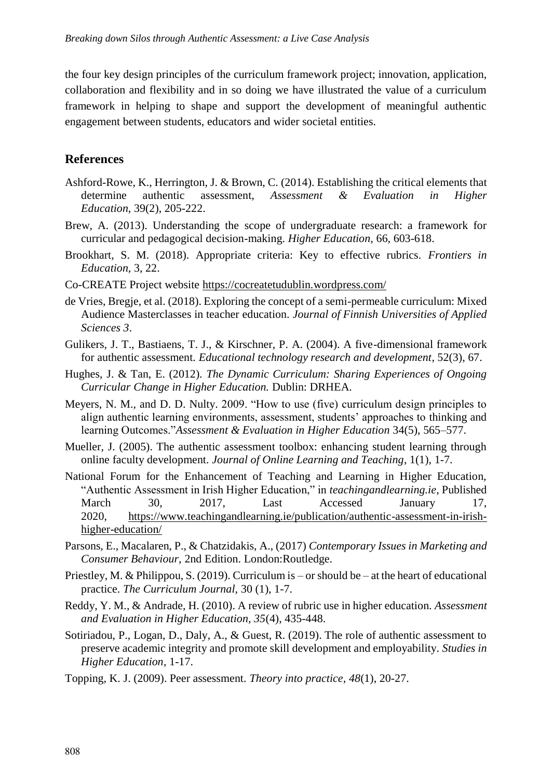the four key design principles of the curriculum framework project; innovation, application, collaboration and flexibility and in so doing we have illustrated the value of a curriculum framework in helping to shape and support the development of meaningful authentic engagement between students, educators and wider societal entities.

## **References**

- Ashford-Rowe, K., Herrington, J. & Brown, C. (2014). Establishing the critical elements that determine authentic assessment, *Assessment & Evaluation in Higher Education*, 39(2), 205-222.
- Brew, A. (2013). Understanding the scope of undergraduate research: a framework for curricular and pedagogical decision-making. *Higher Education,* 66*,* 603-618.
- Brookhart, S. M. (2018). Appropriate criteria: Key to effective rubrics. *Frontiers in Education,* 3*,* 22.
- Co-CREATE Project website https://cocreatetudublin.wordpress.com/
- de Vries, Bregje, et al. (2018). Exploring the concept of a semi-permeable curriculum: Mixed Audience Masterclasses in teacher education. *Journal of Finnish Universities of Applied Sciences 3*.
- Gulikers, J. T., Bastiaens, T. J., & Kirschner, P. A. (2004). A five-dimensional framework for authentic assessment. *Educational technology research and development*, 52(3), 67.
- Hughes, J. & Tan, E. (2012). *The Dynamic Curriculum: Sharing Experiences of Ongoing Curricular Change in Higher Education.* Dublin: DRHEA.
- Meyers, N. M., and D. D. Nulty. 2009. "How to use (five) curriculum design principles to align authentic learning environments, assessment, students' approaches to thinking and learning Outcomes."*Assessment & Evaluation in Higher Education* 34(5), 565–577.
- Mueller, J. (2005). The authentic assessment toolbox: enhancing student learning through online faculty development. *Journal of Online Learning and Teaching*, 1(1), 1-7.
- National Forum for the Enhancement of Teaching and Learning in Higher Education, "Authentic Assessment in Irish Higher Education," in *teachingandlearning.ie*, Published March 30, 2017, Last Accessed January 17, 2020, https://www.teachingandlearning.ie/publication/authentic-assessment-in-irishhigher-education/
- Parsons, E., Macalaren, P., & Chatzidakis, A., (2017) *Contemporary Issues in Marketing and Consumer Behaviour,* 2nd Edition. London:Routledge.
- Priestley, M. & Philippou, S. (2019). Curriculum is or should be at the heart of educational practice. *The Curriculum Journal,* 30 (1), 1-7.
- Reddy, Y. M., & Andrade, H. (2010). A review of rubric use in higher education. *Assessment and Evaluation in Higher Education, 35*(4), 435-448.
- Sotiriadou, P., Logan, D., Daly, A., & Guest, R. (2019). The role of authentic assessment to preserve academic integrity and promote skill development and employability. *Studies in Higher Education*, 1-17.
- Topping, K. J. (2009). Peer assessment. *Theory into practice*, *48*(1), 20-27.